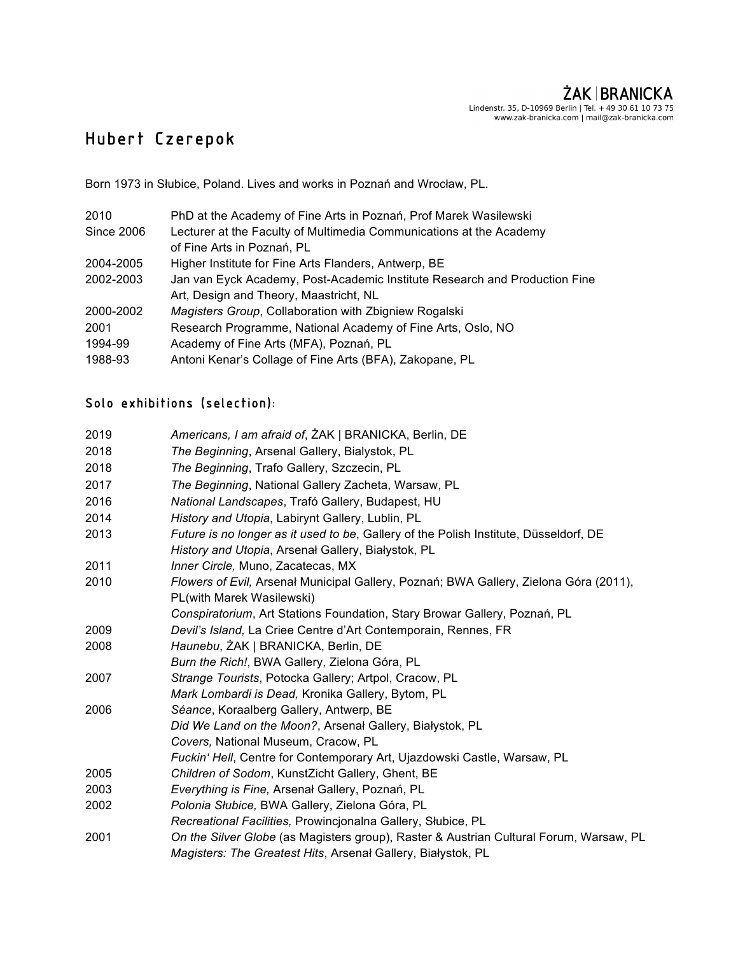## ŻAK | BRANICKA

Lindenstr. 35, D-10969 Berlin | Tel. + 49 30 61 10 73 75<br>www.zak-branicka.com | mail@zak-branicka.com

## Hubert Czerepok

Born 1973 in Słubice, Poland. Lives and works in Poznań and Wrocław, PL.

| 2010       | PhD at the Academy of Fine Arts in Poznań, Prof Marek Wasilewski           |
|------------|----------------------------------------------------------------------------|
| Since 2006 | Lecturer at the Faculty of Multimedia Communications at the Academy        |
|            | of Fine Arts in Poznań, PL                                                 |
| 2004-2005  | Higher Institute for Fine Arts Flanders, Antwerp, BE                       |
| 2002-2003  | Jan van Eyck Academy, Post-Academic Institute Research and Production Fine |
|            | Art, Design and Theory, Maastricht, NL                                     |
| 2000-2002  | Magisters Group, Collaboration with Zbigniew Rogalski                      |
| 2001       | Research Programme, National Academy of Fine Arts, Oslo, NO                |
| 1994-99    | Academy of Fine Arts (MFA), Poznań, PL                                     |
| 1988-93    | Antoni Kenar's Collage of Fine Arts (BFA), Zakopane, PL                    |

## Solo exhibitions (selection):

| 2019 | Americans, I am afraid of, ZAK   BRANICKA, Berlin, DE                                                                                                  |
|------|--------------------------------------------------------------------------------------------------------------------------------------------------------|
| 2018 | The Beginning, Arsenal Gallery, Bialystok, PL                                                                                                          |
| 2018 | The Beginning, Trafo Gallery, Szczecin, PL                                                                                                             |
| 2017 | The Beginning, National Gallery Zacheta, Warsaw, PL                                                                                                    |
| 2016 | National Landscapes, Trafó Gallery, Budapest, HU                                                                                                       |
| 2014 | History and Utopia, Labirynt Gallery, Lublin, PL                                                                                                       |
| 2013 | Future is no longer as it used to be, Gallery of the Polish Institute, Düsseldorf, DE<br>History and Utopia, Arsenal Gallery, Białystok, PL            |
| 2011 | Inner Circle, Muno, Zacatecas, MX                                                                                                                      |
| 2010 | Flowers of Evil, Arsenal Municipal Gallery, Poznań; BWA Gallery, Zielona Góra (2011),<br>PL(with Marek Wasilewski)                                     |
|      | Conspiratorium, Art Stations Foundation, Stary Browar Gallery, Poznań, PL                                                                              |
| 2009 | Devil's Island, La Criee Centre d'Art Contemporain, Rennes, FR                                                                                         |
| 2008 | Haunebu, ŻAK   BRANICKA, Berlin, DE                                                                                                                    |
|      | Burn the Rich!, BWA Gallery, Zielona Góra, PL                                                                                                          |
| 2007 | Strange Tourists, Potocka Gallery; Artpol, Cracow, PL                                                                                                  |
|      | Mark Lombardi is Dead, Kronika Gallery, Bytom, PL                                                                                                      |
| 2006 | Séance, Koraalberg Gallery, Antwerp, BE                                                                                                                |
|      | Did We Land on the Moon?, Arsenal Gallery, Białystok, PL                                                                                               |
|      | Covers, National Museum, Cracow, PL                                                                                                                    |
|      | Fuckin' Hell, Centre for Contemporary Art, Ujazdowski Castle, Warsaw, PL                                                                               |
| 2005 | Children of Sodom, KunstZicht Gallery, Ghent, BE                                                                                                       |
| 2003 | Everything is Fine, Arsenal Gallery, Poznań, PL                                                                                                        |
| 2002 | Polonia Słubice, BWA Gallery, Zielona Góra, PL                                                                                                         |
|      | Recreational Facilities, Prowincjonalna Gallery, Słubice, PL                                                                                           |
| 2001 | On the Silver Globe (as Magisters group), Raster & Austrian Cultural Forum, Warsaw, PL<br>Magisters: The Greatest Hits, Arsenal Gallery, Bialystok, PL |
|      |                                                                                                                                                        |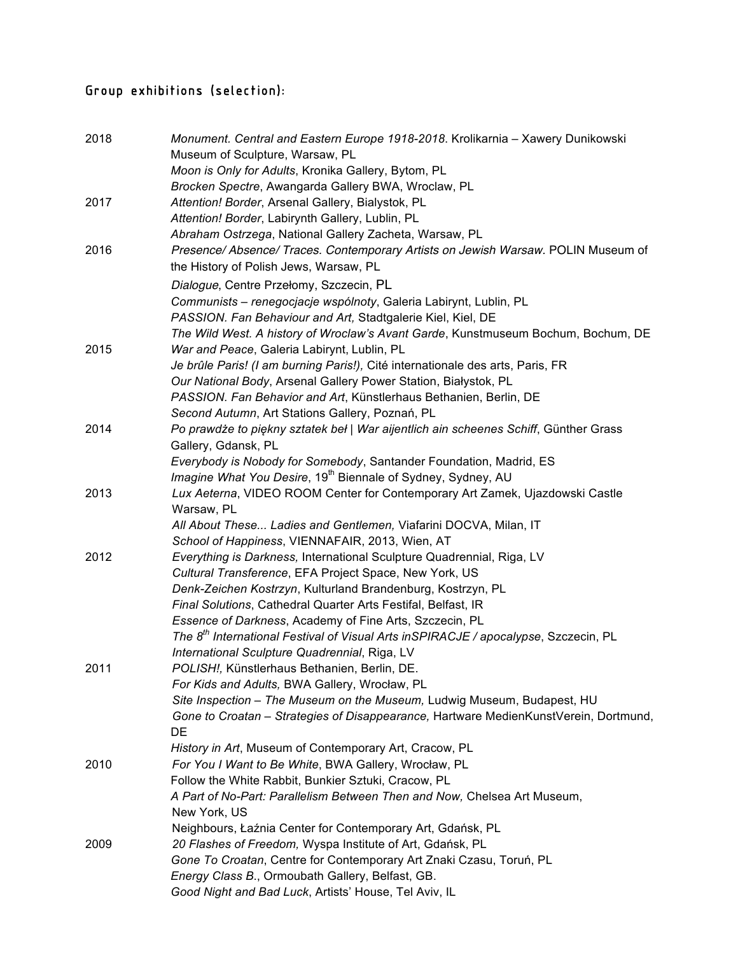## Group exhibitions (selection):

| 2018 | Monument. Central and Eastern Europe 1918-2018. Krolikarnia - Xawery Dunikowski                 |
|------|-------------------------------------------------------------------------------------------------|
|      | Museum of Sculpture, Warsaw, PL                                                                 |
|      | Moon is Only for Adults, Kronika Gallery, Bytom, PL                                             |
|      | Brocken Spectre, Awangarda Gallery BWA, Wroclaw, PL                                             |
| 2017 | Attention! Border, Arsenal Gallery, Bialystok, PL                                               |
|      | Attention! Border, Labirynth Gallery, Lublin, PL                                                |
|      | Abraham Ostrzega, National Gallery Zacheta, Warsaw, PL                                          |
| 2016 | Presence/ Absence/ Traces. Contemporary Artists on Jewish Warsaw. POLIN Museum of               |
|      | the History of Polish Jews, Warsaw, PL                                                          |
|      | Dialogue, Centre Przełomy, Szczecin, PL                                                         |
|      | Communists - renegocjacje wspólnoty, Galeria Labirynt, Lublin, PL                               |
|      | PASSION. Fan Behaviour and Art, Stadtgalerie Kiel, Kiel, DE                                     |
|      | The Wild West. A history of Wroclaw's Avant Garde, Kunstmuseum Bochum, Bochum, DE               |
| 2015 | War and Peace, Galeria Labirynt, Lublin, PL                                                     |
|      | Je brûle Paris! (I am burning Paris!), Cité internationale des arts, Paris, FR                  |
|      | Our National Body, Arsenal Gallery Power Station, Białystok, PL                                 |
|      | PASSION. Fan Behavior and Art, Künstlerhaus Bethanien, Berlin, DE                               |
|      | Second Autumn, Art Stations Gallery, Poznań, PL                                                 |
| 2014 | Po prawdże to piękny sztatek beł   War aijentlich ain scheenes Schiff, Günther Grass            |
|      | Gallery, Gdansk, PL                                                                             |
|      | Everybody is Nobody for Somebody, Santander Foundation, Madrid, ES                              |
|      | Imagine What You Desire, 19 <sup>th</sup> Biennale of Sydney, Sydney, AU                        |
| 2013 | Lux Aeterna, VIDEO ROOM Center for Contemporary Art Zamek, Ujazdowski Castle                    |
|      | Warsaw, PL                                                                                      |
|      | All About These Ladies and Gentlemen, Viafarini DOCVA, Milan, IT                                |
|      | School of Happiness, VIENNAFAIR, 2013, Wien, AT                                                 |
| 2012 | Everything is Darkness, International Sculpture Quadrennial, Riga, LV                           |
|      | Cultural Transference, EFA Project Space, New York, US                                          |
|      | Denk-Zeichen Kostrzyn, Kulturland Brandenburg, Kostrzyn, PL                                     |
|      | Final Solutions, Cathedral Quarter Arts Festifal, Belfast, IR                                   |
|      | Essence of Darkness, Academy of Fine Arts, Szczecin, PL                                         |
|      | The 8 <sup>th</sup> International Festival of Visual Arts inSPIRACJE / apocalypse, Szczecin, PL |
|      | International Sculpture Quadrennial, Riga, LV                                                   |
| 2011 | POLISH!, Künstlerhaus Bethanien, Berlin, DE.                                                    |
|      | For Kids and Adults, BWA Gallery, Wrocław, PL                                                   |
|      | Site Inspection - The Museum on the Museum, Ludwig Museum, Budapest, HU                         |
|      | Gone to Croatan - Strategies of Disappearance, Hartware MedienKunstVerein, Dortmund,            |
|      | DE                                                                                              |
|      | History in Art, Museum of Contemporary Art, Cracow, PL                                          |
| 2010 | For You I Want to Be White, BWA Gallery, Wrocław, PL                                            |
|      | Follow the White Rabbit, Bunkier Sztuki, Cracow, PL                                             |
|      | A Part of No-Part: Parallelism Between Then and Now, Chelsea Art Museum,                        |
|      | New York, US                                                                                    |
|      | Neighbours, Łaźnia Center for Contemporary Art, Gdańsk, PL                                      |
| 2009 | 20 Flashes of Freedom, Wyspa Institute of Art, Gdańsk, PL                                       |
|      | Gone To Croatan, Centre for Contemporary Art Znaki Czasu, Toruń, PL                             |
|      | Energy Class B., Ormoubath Gallery, Belfast, GB.                                                |
|      | Good Night and Bad Luck, Artists' House, Tel Aviv, IL                                           |